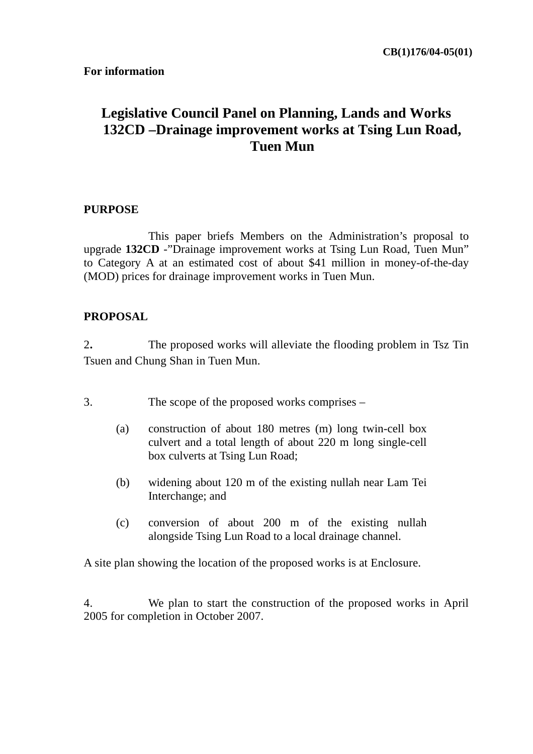# **Legislative Council Panel on Planning, Lands and Works 132CD –Drainage improvement works at Tsing Lun Road, Tuen Mun**

### **PURPOSE**

 This paper briefs Members on the Administration's proposal to upgrade **132CD** -"Drainage improvement works at Tsing Lun Road, Tuen Mun" to Category A at an estimated cost of about \$41 million in money-of-the-day (MOD) prices for drainage improvement works in Tuen Mun.

### **PROPOSAL**

2**.** The proposed works will alleviate the flooding problem in Tsz Tin Tsuen and Chung Shan in Tuen Mun.

- 3. The scope of the proposed works comprises
	- (a) construction of about 180 metres (m) long twin-cell box culvert and a total length of about 220 m long single-cell box culverts at Tsing Lun Road;
	- (b) widening about 120 m of the existing nullah near Lam Tei Interchange; and
	- (c) conversion of about 200 m of the existing nullah alongside Tsing Lun Road to a local drainage channel.

A site plan showing the location of the proposed works is at Enclosure.

4. We plan to start the construction of the proposed works in April 2005 for completion in October 2007.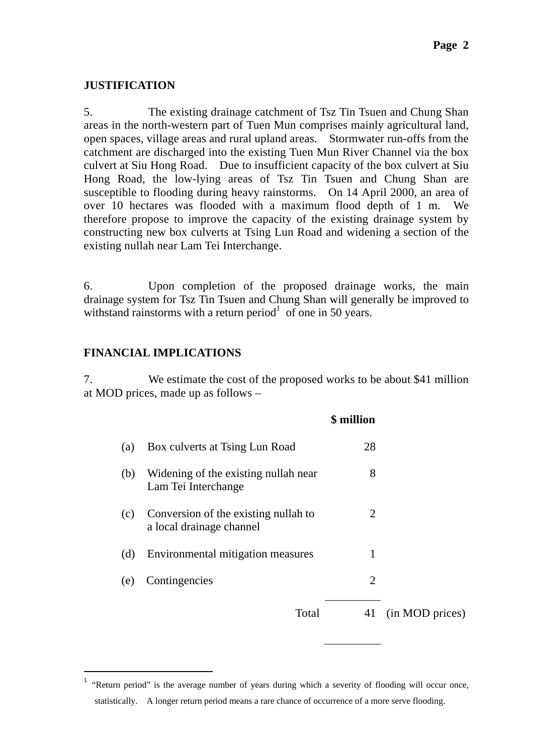### **JUSTIFICATION**

5. The existing drainage catchment of Tsz Tin Tsuen and Chung Shan areas in the north-western part of Tuen Mun comprises mainly agricultural land, open spaces, village areas and rural upland areas. Stormwater run-offs from the catchment are discharged into the existing Tuen Mun River Channel via the box culvert at Siu Hong Road. Due to insufficient capacity of the box culvert at Siu Hong Road, the low-lying areas of Tsz Tin Tsuen and Chung Shan are susceptible to flooding during heavy rainstorms. On 14 April 2000, an area of over 10 hectares was flooded with a maximum flood depth of 1 m. We therefore propose to improve the capacity of the existing drainage system by constructing new box culverts at Tsing Lun Road and widening a section of the existing nullah near Lam Tei Interchange.

6. Upon completion of the proposed drainage works, the main drainage system for Tsz Tin Tsuen and Chung Shan will generally be improved to withstand rainstorms with a return period<sup>1</sup> of one in 50 years.

## **FINANCIAL IMPLICATIONS**

 $\overline{a}$ 

7. We estimate the cost of the proposed works to be about \$41 million at MOD prices, made up as follows –

|     |                                                                  | \$ million                  |                 |
|-----|------------------------------------------------------------------|-----------------------------|-----------------|
| (a) | Box culverts at Tsing Lun Road                                   | 28                          |                 |
| (b) | Widening of the existing nullah near<br>Lam Tei Interchange      | 8                           |                 |
| (c) | Conversion of the existing nullah to<br>a local drainage channel | $\mathcal{D}_{\mathcal{L}}$ |                 |
| (d) | Environmental mitigation measures                                | 1                           |                 |
| (e) | Contingencies                                                    | 2                           |                 |
|     | Total                                                            | 41                          | (in MOD prices) |

<sup>1</sup> "Return period" is the average number of years during which a severity of flooding will occur once, statistically. A longer return period means a rare chance of occurrence of a more serve flooding.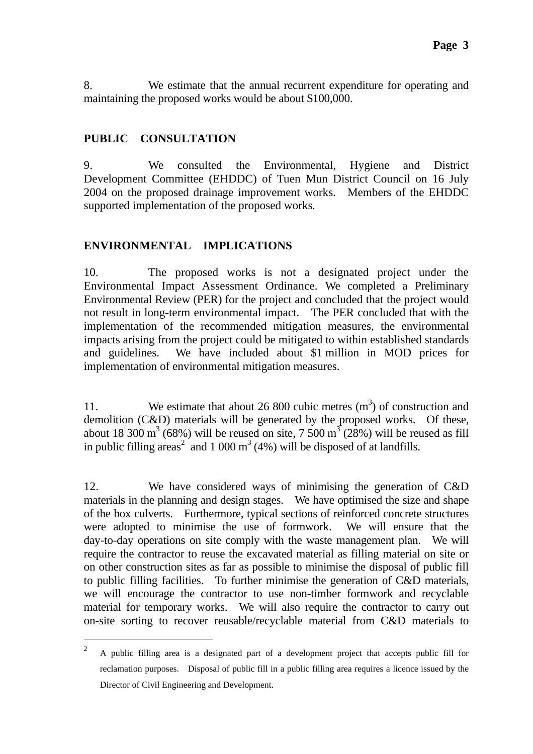8. We estimate that the annual recurrent expenditure for operating and maintaining the proposed works would be about \$100,000.

## **PUBLIC CONSULTATION**

 $\overline{a}$ 

9. We consulted the Environmental, Hygiene and District Development Committee (EHDDC) of Tuen Mun District Council on 16 July 2004 on the proposed drainage improvement works. Members of the EHDDC supported implementation of the proposed works*.* 

# **ENVIRONMENTAL IMPLICATIONS**

10. The proposed works is not a designated project under the Environmental Impact Assessment Ordinance. We completed a Preliminary Environmental Review (PER) for the project and concluded that the project would not result in long-term environmental impact. The PER concluded that with the implementation of the recommended mitigation measures, the environmental impacts arising from the project could be mitigated to within established standards and guidelines. We have included about \$1 million in MOD prices for implementation of environmental mitigation measures.

11. We estimate that about 26 800 cubic metres  $(m<sup>3</sup>)$  of construction and demolition (C&D) materials will be generated by the proposed works. Of these, about 18 300 m<sup>3</sup> (68%) will be reused on site, 7 500 m<sup>3</sup> (28%) will be reused as fill in public filling areas<sup>2</sup> and 1 000 m<sup>3</sup> (4%) will be disposed of at landfills.

12. We have considered ways of minimising the generation of C&D materials in the planning and design stages. We have optimised the size and shape of the box culverts. Furthermore, typical sections of reinforced concrete structures were adopted to minimise the use of formwork. We will ensure that the day-to-day operations on site comply with the waste management plan. We will require the contractor to reuse the excavated material as filling material on site or on other construction sites as far as possible to minimise the disposal of public fill to public filling facilities. To further minimise the generation of C&D materials, we will encourage the contractor to use non-timber formwork and recyclable material for temporary works. We will also require the contractor to carry out on-site sorting to recover reusable/recyclable material from C&D materials to

<sup>&</sup>lt;sup>2</sup> A public filling area is a designated part of a development project that accepts public fill for reclamation purposes. Disposal of public fill in a public filling area requires a licence issued by the Director of Civil Engineering and Development.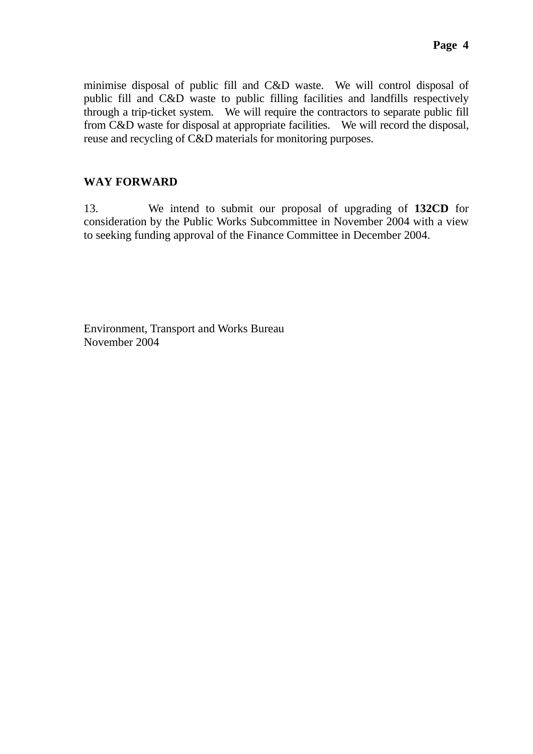minimise disposal of public fill and C&D waste. We will control disposal of public fill and C&D waste to public filling facilities and landfills respectively through a trip-ticket system. We will require the contractors to separate public fill from C&D waste for disposal at appropriate facilities. We will record the disposal, reuse and recycling of C&D materials for monitoring purposes.

# **WAY FORWARD**

13. We intend to submit our proposal of upgrading of **132CD** for consideration by the Public Works Subcommittee in November 2004 with a view to seeking funding approval of the Finance Committee in December 2004.

Environment, Transport and Works Bureau November 2004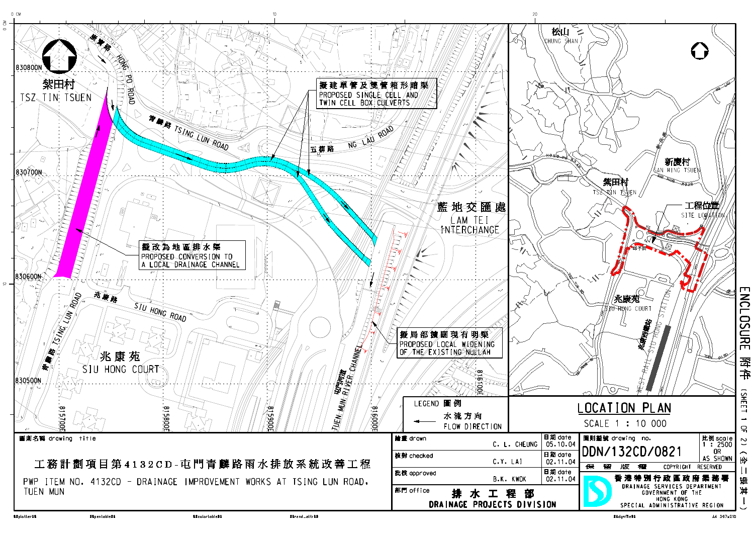